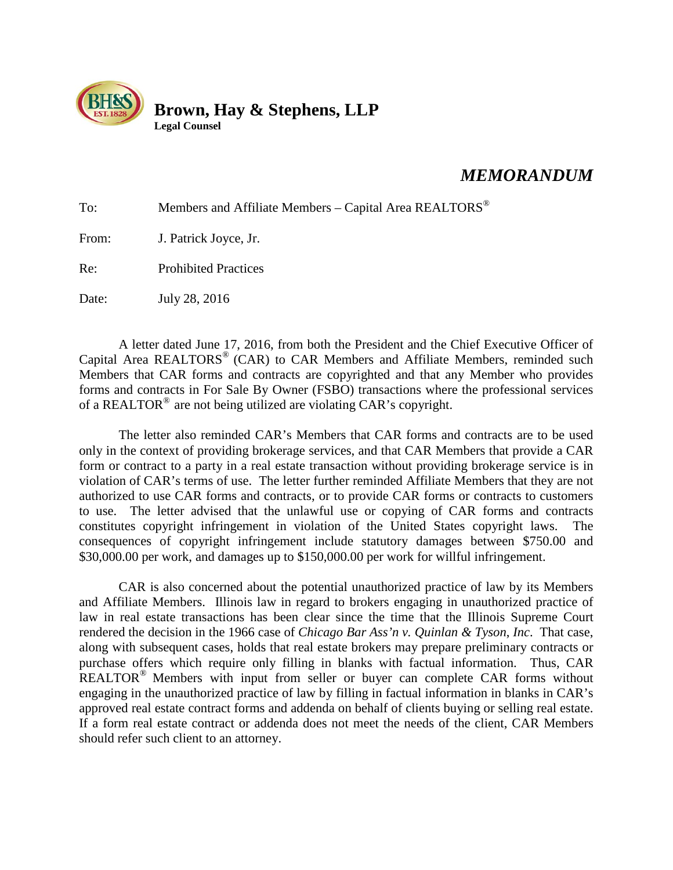

## *MEMORANDUM*

| To:   | Members and Affiliate Members - Capital Area REALTORS <sup>®</sup> |
|-------|--------------------------------------------------------------------|
| From: | J. Patrick Joyce, Jr.                                              |
| Re:   | <b>Prohibited Practices</b>                                        |
| Date: | July 28, 2016                                                      |

A letter dated June 17, 2016, from both the President and the Chief Executive Officer of Capital Area REALTORS<sup>®</sup> (CAR) to CAR Members and Affiliate Members, reminded such Members that CAR forms and contracts are copyrighted and that any Member who provides forms and contracts in For Sale By Owner (FSBO) transactions where the professional services of a REALTOR<sup>®</sup> are not being utilized are violating CAR's copyright.

The letter also reminded CAR's Members that CAR forms and contracts are to be used only in the context of providing brokerage services, and that CAR Members that provide a CAR form or contract to a party in a real estate transaction without providing brokerage service is in violation of CAR's terms of use. The letter further reminded Affiliate Members that they are not authorized to use CAR forms and contracts, or to provide CAR forms or contracts to customers to use. The letter advised that the unlawful use or copying of CAR forms and contracts constitutes copyright infringement in violation of the United States copyright laws. The consequences of copyright infringement include statutory damages between \$750.00 and \$30,000.00 per work, and damages up to \$150,000.00 per work for willful infringement.

CAR is also concerned about the potential unauthorized practice of law by its Members and Affiliate Members. Illinois law in regard to brokers engaging in unauthorized practice of law in real estate transactions has been clear since the time that the Illinois Supreme Court rendered the decision in the 1966 case of *Chicago Bar Ass'n v. Quinlan & Tyson*, *Inc*. That case, along with subsequent cases, holds that real estate brokers may prepare preliminary contracts or purchase offers which require only filling in blanks with factual information. Thus, CAR REALTOR<sup>®</sup> Members with input from seller or buyer can complete CAR forms without engaging in the unauthorized practice of law by filling in factual information in blanks in CAR's approved real estate contract forms and addenda on behalf of clients buying or selling real estate. If a form real estate contract or addenda does not meet the needs of the client, CAR Members should refer such client to an attorney.